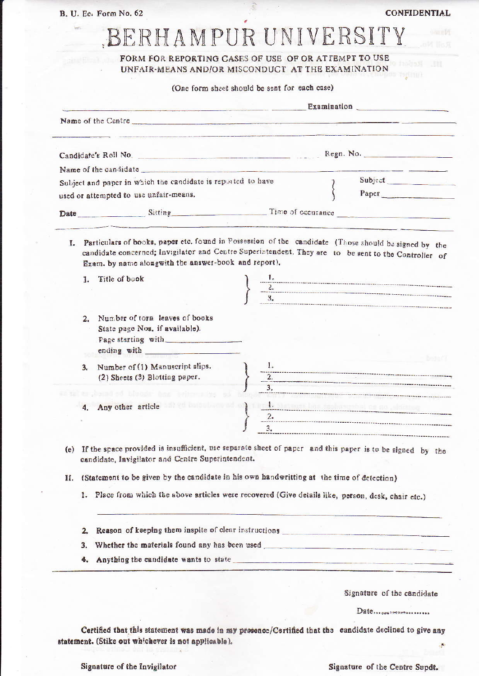B. U. Ec. Form No. 62

CONFIDENTIAL

## BERHAMPUR UNIVERSITY

FORM FOR REPORTING CASES OF USE OF OR ATTEMPT TO USE UNFAIR-MEANS AND/OR MISCONDUCT AT THE EXAMINATION

(One form sheet should be sent for each case)

|                                                                                                        |                                                                                                                                                                                                                                                                      |  |                                        | Examination Communication Communication Communication Communication Communication Communication Communication |  |
|--------------------------------------------------------------------------------------------------------|----------------------------------------------------------------------------------------------------------------------------------------------------------------------------------------------------------------------------------------------------------------------|--|----------------------------------------|---------------------------------------------------------------------------------------------------------------|--|
|                                                                                                        |                                                                                                                                                                                                                                                                      |  |                                        |                                                                                                               |  |
|                                                                                                        |                                                                                                                                                                                                                                                                      |  |                                        |                                                                                                               |  |
|                                                                                                        | Name of the candidate                                                                                                                                                                                                                                                |  |                                        |                                                                                                               |  |
| Subject and paper in which the candidate is reported to have<br>used or attempted to use unfair-means. |                                                                                                                                                                                                                                                                      |  |                                        |                                                                                                               |  |
|                                                                                                        |                                                                                                                                                                                                                                                                      |  |                                        | Paper                                                                                                         |  |
|                                                                                                        |                                                                                                                                                                                                                                                                      |  | Date Sitting Sitting Time of occurance |                                                                                                               |  |
| L.                                                                                                     | Particulars of books, paper etc. found in Possession of the candidate (Those should be signed by the<br>candidate concerned; Invigilator and Centre Superintendent. They are to be sent to the Controller of<br>Exam. by name alongwith the answer-book and report). |  |                                        |                                                                                                               |  |
|                                                                                                        | 1. Title of book                                                                                                                                                                                                                                                     |  |                                        |                                                                                                               |  |
|                                                                                                        |                                                                                                                                                                                                                                                                      |  |                                        |                                                                                                               |  |
|                                                                                                        |                                                                                                                                                                                                                                                                      |  |                                        |                                                                                                               |  |
|                                                                                                        | Number of torn leaves of books<br>2.<br>State page Nos. if available).<br>Page starting with                                                                                                                                                                         |  |                                        | <b>Bestian's</b>                                                                                              |  |
|                                                                                                        | Number of (1) Manuscript slips.<br>3.<br>(2) Sheets (3) Blotting paper.                                                                                                                                                                                              |  |                                        |                                                                                                               |  |
|                                                                                                        | erad od Medde And                                                                                                                                                                                                                                                    |  |                                        |                                                                                                               |  |
|                                                                                                        | 4. Any other article and the same of the same of the same of the same of the same of the same of the same of the same of the same of the same of the same of the same of the same of the same of the same of the same of the s                                       |  |                                        |                                                                                                               |  |
|                                                                                                        |                                                                                                                                                                                                                                                                      |  |                                        |                                                                                                               |  |
|                                                                                                        |                                                                                                                                                                                                                                                                      |  |                                        |                                                                                                               |  |
|                                                                                                        | (e) If the space provided is insufficient, use separate sheet of paper and this paper is to be signed by the<br>candidate, Invigilator and Centre Superintendent.                                                                                                    |  |                                        |                                                                                                               |  |
|                                                                                                        | (Statement to be given by the candidate in his own handwritting at the time of detection)                                                                                                                                                                            |  |                                        |                                                                                                               |  |
|                                                                                                        |                                                                                                                                                                                                                                                                      |  |                                        |                                                                                                               |  |
|                                                                                                        | 1. Place from which the above articles were recovered (Give details like, person, desk, chair etc.)                                                                                                                                                                  |  |                                        |                                                                                                               |  |
|                                                                                                        |                                                                                                                                                                                                                                                                      |  |                                        |                                                                                                               |  |
|                                                                                                        | 2.                                                                                                                                                                                                                                                                   |  |                                        |                                                                                                               |  |
| П.                                                                                                     | Whether the materials found any has been used<br>3.                                                                                                                                                                                                                  |  |                                        |                                                                                                               |  |

Date...........................

Certified that this statement was made in my presence/Certified that the candidate declined to give any statement. (Stike out whichever is not applicable). Ļ.

Signature of the Invigilator

Signature of the Centre Supdt.